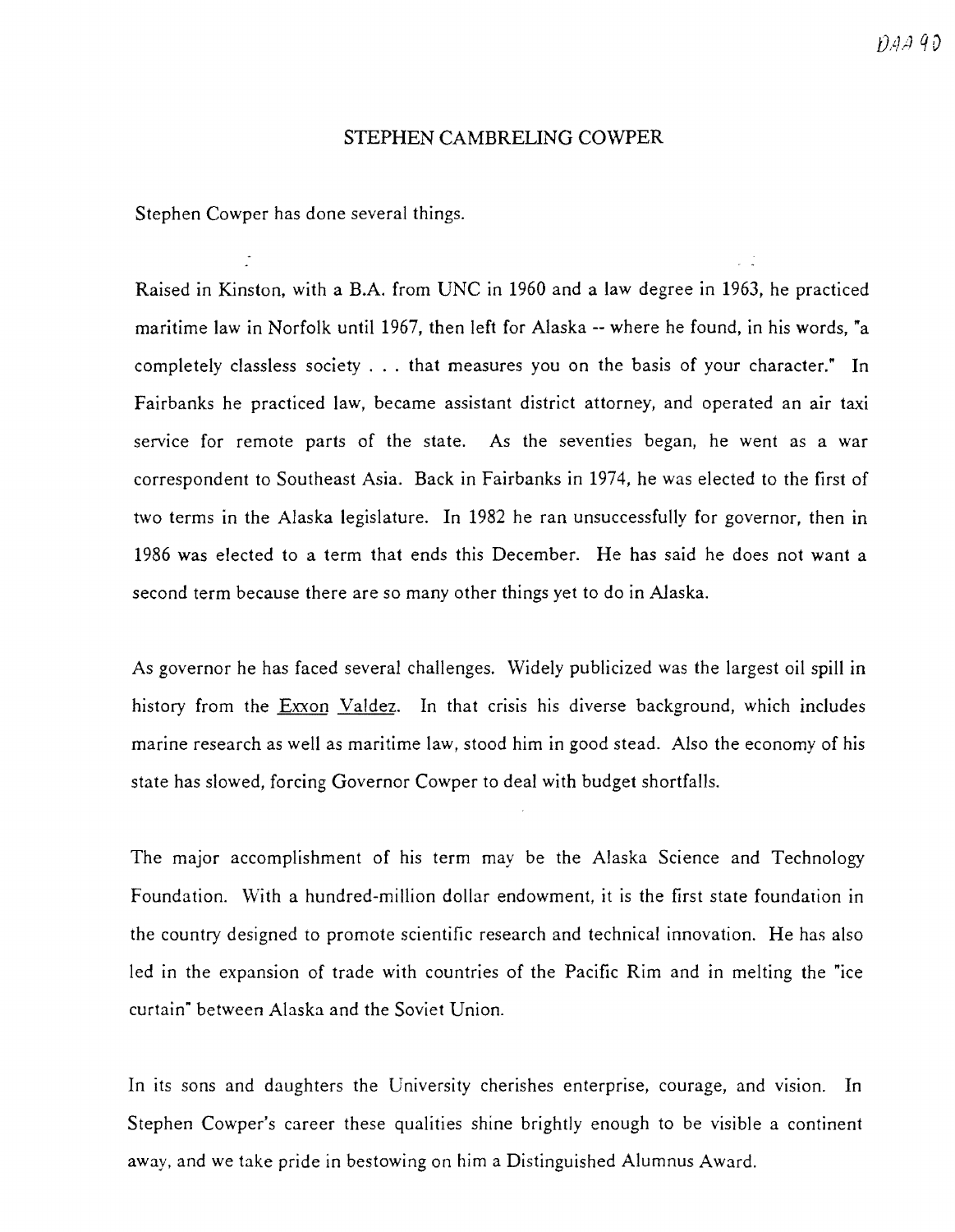## STEPHEN CAMBRELING COWPER

Stephen Cowper has done several things.

Raised in Kinston, with a B.A. from UNC in 1960 and a law degree in 1963, he practiced maritime law in Norfolk until 1967, then left for Alaska -- where he found, in his words, "a completely classless society ... that measures you on the basis of your character." In Fairbanks he practiced law, became assistant district attorney, and operated an air taxi service for remote parts of the state. As the seventies began, he went as a war correspondent to Southeast Asia. Back in Fairbanks in 1974, he was elected to the first of two terms in the Alaska legislature. In 1982 he ran unsuccessfully for governor, then in 1986 was elected to a term that ends this December. He has said he does not want a second term because there are so many other things yet to do in Alaska.

As governor he has faced several challenges. Widely publicized was the largest oil spill in history from the Exxon Valdez. In that crisis his diverse background, which includes marine research as well as maritime law, stood him in good stead. Also the economy of his state has slowed, forcing Governor Cowper to deal with budget shortfalls.

The major accomplishment of his term may be the Alaska Science and Technology Foundation. With a hundred-million dollar endowment, it is the first state foundation in the country designed to promote scientific research and technical innovation. He has also led in the expansion of trade with countries of the Pacific Rim and in melting the "ice curtain" between Alaska and the Soviet Union.

In its sons and daughters the University cherishes enterprise, courage, and vision. In Stephen Cowper's career these qualities shine brightly enough to be visible a continent away, and we take pride in bestowing on him a Distinguished Alumnus Award.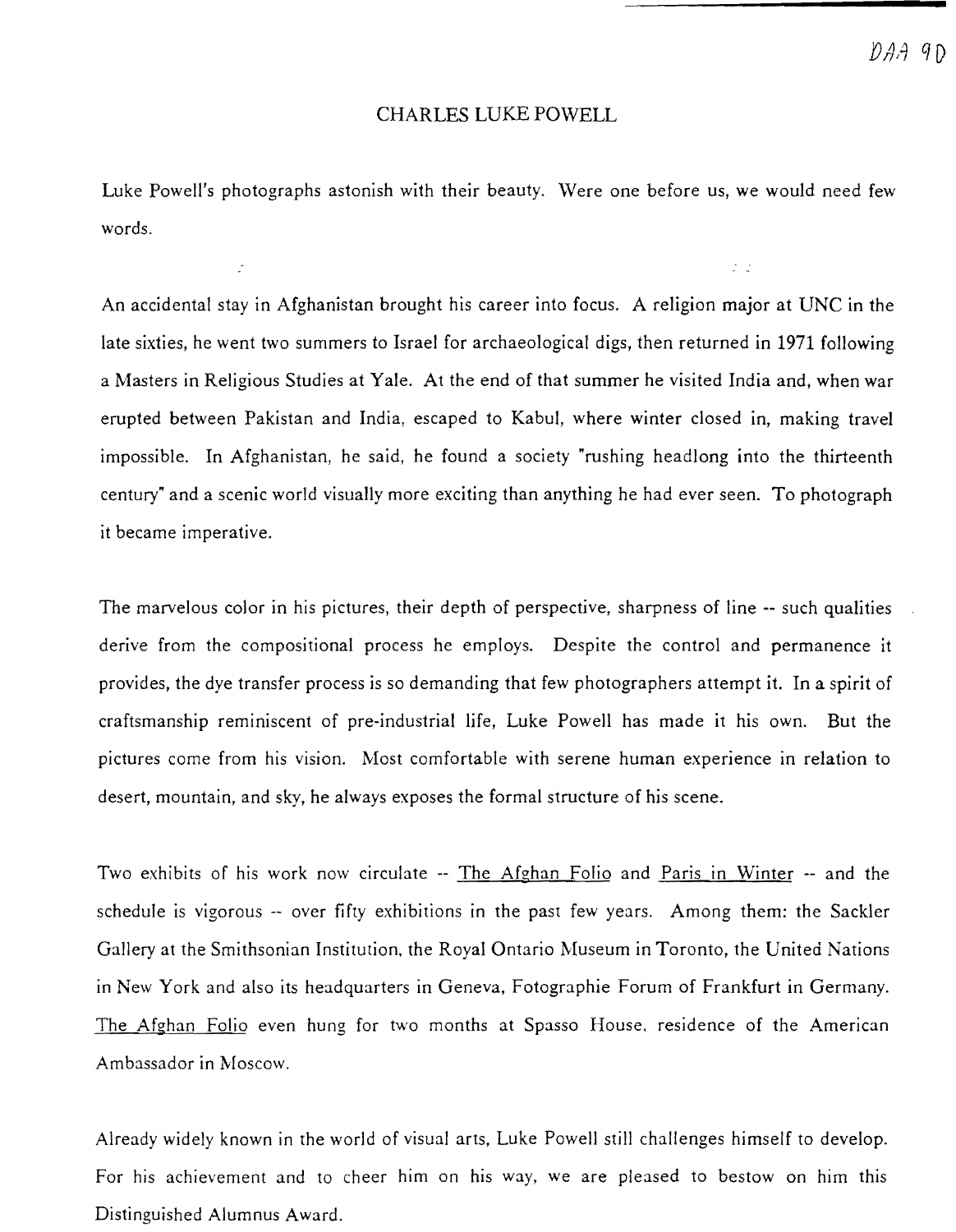$\tilde{z}=\tilde{z}$ 

## CHARLES LUKE POWELL

Luke Powell's photographs astonish with their beauty. Were one before us, we would need few words.

An accidental stay in Afghanistan brought his career into focus. A religion major at UNC in the late sixties, he went two summers to Israel for archaeological digs, then returned in 1971 following a Masters in Religious Studies at Yale. At the end of that summer he visited India and, when war erupted between Pakistan and India, escaped to Kabul, where winter closed in, making travel impossible. In Afghanistan, he said, he found a society "rushing headlong into the thirteenth century" and a scenic world visually more exciting than anything he had ever seen. To photograph it became imperative.

The marvelous color in his pictures, their depth of perspective, sharpness of line -- such qualities derive from the compositional process he employs. Despite the control and permanence it provides, the dye transfer process is so demanding that few photographers attempt it. In a spirit of craftsmanship reminiscent of pre-industrial life, Luke Powell has made it his own. But the pictures come from his vision. Most comfortable with serene human experience in relation to desert, mountain, and sky, he always exposes the formal structure of his scene.

Two exhibits of his work now circulate -- The Afghan Folio and Paris in Winter -- and the schedule is vigorous -- over fifty exhibitions in the past few years. Among them: the Sackler Gallery at the Smithsonian Institution, the Royal Ontario Museum in Toronto, the United Nations in New York and also its headquarters in Geneva, Fotographie Forum of Frankfurt in Germany. The Afghan Folio even hung for two months at Spasso House. residence of the American Ambassador in Moscow.

Already widely known in the world of visual arts, Luke Powell still challenges himself to develop. For his achievement and to cheer him on his way, we are pleased to bestow on him this Distinguished Alumnus Award.